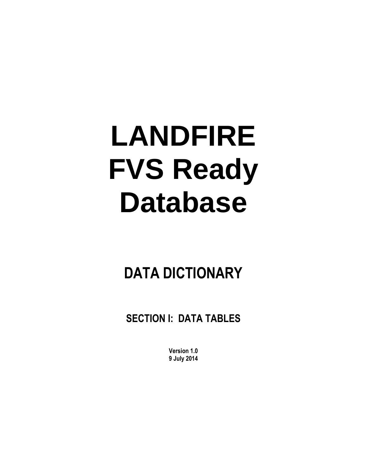# **LANDFIRE FVS Ready Database**

## **DATA DICTIONARY**

**SECTION I: DATA TABLES**

**Version 1.0 9 July 2014**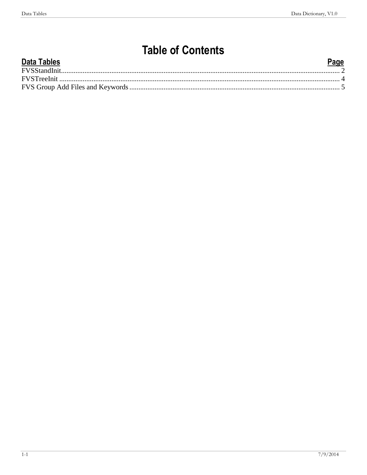## **Table of Contents**

| <b>Data Tables</b> | Page |
|--------------------|------|
|                    |      |
|                    |      |
|                    |      |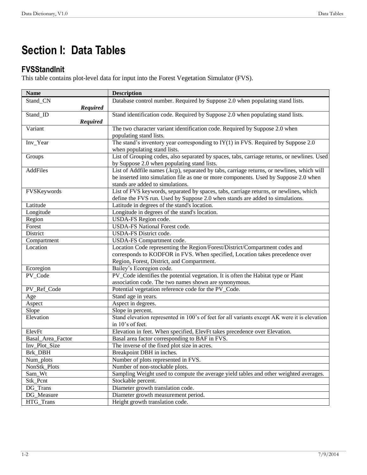### **Section I: Data Tables**

#### <span id="page-3-0"></span>**FVSStandInit**

This table contains plot-level data for input into the Forest Vegetation Simulator (FVS).

| <b>Name</b>       | <b>Description</b>                                                                           |
|-------------------|----------------------------------------------------------------------------------------------|
| Stand_CN          | Database control number. Required by Suppose 2.0 when populating stand lists.                |
| <b>Required</b>   |                                                                                              |
| Stand_ID          | Stand identification code. Required by Suppose 2.0 when populating stand lists.              |
| <b>Required</b>   |                                                                                              |
| Variant           | The two character variant identification code. Required by Suppose 2.0 when                  |
|                   | populating stand lists.                                                                      |
| Inv_Year          | The stand's inventory year corresponding to $IY(1)$ in FVS. Required by Suppose 2.0          |
|                   | when populating stand lists.                                                                 |
| Groups            | List of Grouping codes, also separated by spaces, tabs, carriage returns, or newlines. Used  |
|                   | by Suppose 2.0 when populating stand lists.                                                  |
| AddFiles          | List of Addfile names (.kcp), separated by tabs, carriage returns, or newlines, which will   |
|                   | be inserted into simulation file as one or more components. Used by Suppose 2.0 when         |
|                   | stands are added to simulations.                                                             |
| FVSKeywords       | List of FVS keywords, separated by spaces, tabs, carriage returns, or newlines, which        |
|                   | define the FVS run. Used by Suppose 2.0 when stands are added to simulations.                |
| Latitude          | Latitude in degrees of the stand's location.                                                 |
| Longitude         | Longitude in degrees of the stand's location.                                                |
| Region            | USDA-FS Region code.                                                                         |
| Forest            | <b>USDA-FS National Forest code.</b>                                                         |
| District          | <b>USDA-FS District code.</b>                                                                |
| Compartment       | USDA-FS Compartment code.                                                                    |
| Location          | Location Code representing the Region/Forest/District/Compartment codes and                  |
|                   | corresponds to KODFOR in FVS. When specified, Location takes precedence over                 |
|                   | Region, Forest, District, and Compartment.                                                   |
| Ecoregion         | Bailey's Ecoregion code.                                                                     |
| PV_Code           | PV_Code identifies the potential vegetation. It is often the Habitat type or Plant           |
|                   | association code. The two names shown are synonymous.                                        |
| PV_Ref_Code       | Potential vegetation reference code for the PV_Code.                                         |
| Age               | Stand age in years.                                                                          |
| Aspect            | Aspect in degrees.                                                                           |
| Slope             | Slope in percent.                                                                            |
| Elevation         | Stand elevation represented in 100's of feet for all variants except AK were it is elevation |
|                   | in 10's of feet.                                                                             |
| ElevFt            | Elevation in feet. When specified, ElevFt takes precedence over Elevation.                   |
| Basal_Area_Factor | Basal area factor corresponding to BAF in FVS.                                               |
| Inv_Plot_Size     | The inverse of the fixed plot size in acres.                                                 |
| <b>Brk DBH</b>    | Breakpoint DBH in inches.                                                                    |
| Num_plots         | Number of plots represented in FVS.                                                          |
| NonStk_Plots      | Number of non-stockable plots.                                                               |
| Sam_Wt            | Sampling Weight used to compute the average yield tables and other weighted averages.        |
| Stk_Pcnt          | Stockable percent.                                                                           |
| DG_Trans          | Diameter growth translation code.                                                            |
| DG_Measure        | Diameter growth measurement period.                                                          |
| HTG_Trans         | Height growth translation code.                                                              |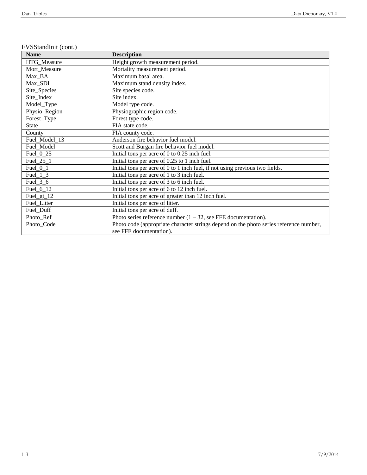| <b>Name</b>   | <b>Description</b>                                                                     |
|---------------|----------------------------------------------------------------------------------------|
| HTG_Measure   | Height growth measurement period.                                                      |
| Mort_Measure  | Mortality measurement period.                                                          |
| Max BA        | Maximum basal area.                                                                    |
| Max_SDI       | Maximum stand density index.                                                           |
| Site_Species  | Site species code.                                                                     |
| Site_Index    | Site index.                                                                            |
| Model_Type    | Model type code.                                                                       |
| Physio_Region | Physiographic region code.                                                             |
| Forest_Type   | Forest type code.                                                                      |
| State         | FIA state code.                                                                        |
| County        | FIA county code.                                                                       |
| Fuel_Model_13 | Anderson fire behavior fuel model.                                                     |
| Fuel_Model    | Scott and Burgan fire behavior fuel model.                                             |
| Fuel_ $0$ _25 | Initial tons per acre of 0 to 0.25 inch fuel.                                          |
| Fuel_ $25\_1$ | Initial tons per acre of 0.25 to 1 inch fuel.                                          |
| $Fuel_0_1$    | Initial tons per acre of 0 to 1 inch fuel, if not using previous two fields.           |
| $Fuel_1_3$    | Initial tons per acre of 1 to 3 inch fuel.                                             |
| Fuel_ $3_6$   | Initial tons per acre of 3 to 6 inch fuel.                                             |
| Fuel_ $6$ _12 | Initial tons per acre of 6 to 12 inch fuel.                                            |
| $Fuel_gt_12$  | Initial tons per acre of greater than 12 inch fuel.                                    |
| Fuel_Litter   | Initial tons per acre of litter.                                                       |
| Fuel_Duff     | Initial tons per acre of duff.                                                         |
| Photo_Ref     | Photo series reference number $(1 - 32)$ , see FFE documentation).                     |
| Photo_Code    | Photo code (appropriate character strings depend on the photo series reference number, |
|               | see FFE documentation).                                                                |

#### FVSStandInit (cont.)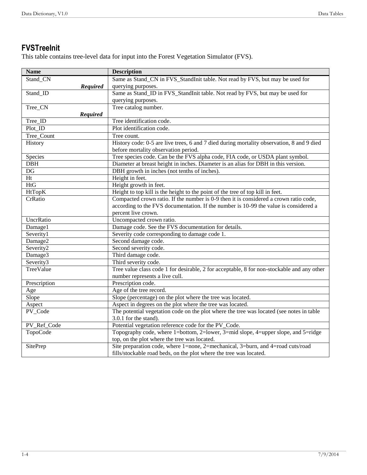#### <span id="page-5-0"></span>**FVSTreeInit**

This table contains tree-level data for input into the Forest Vegetation Simulator (FVS).

| <b>Name</b>     | <b>Description</b>                                                                         |
|-----------------|--------------------------------------------------------------------------------------------|
| Stand_CN        | Same as Stand_CN in FVS_StandInit table. Not read by FVS, but may be used for              |
| <b>Required</b> | querying purposes.                                                                         |
| Stand_ID        | Same as Stand_ID in FVS_StandInit table. Not read by FVS, but may be used for              |
|                 | querying purposes.                                                                         |
| Tree_CN         | Tree catalog number.                                                                       |
| <b>Required</b> |                                                                                            |
| Tree_ID         | Tree identification code.                                                                  |
| Plot_ID         | Plot identification code.                                                                  |
| Tree_Count      | Tree count.                                                                                |
| History         | History code: 0-5 are live trees, 6 and 7 died during mortality observation, 8 and 9 died  |
|                 | before mortality observation period.                                                       |
| Species         | Tree species code. Can be the FVS alpha code, FIA code, or USDA plant symbol.              |
| DBH             | Diameter at breast height in inches. Diameter is an alias for DBH in this version.         |
| DG              | DBH growth in inches (not tenths of inches).                                               |
| Ht              | Height in feet.                                                                            |
| <b>HtG</b>      | Height growth in feet.                                                                     |
| HtTopK          | Height to top kill is the height to the point of the tree of top kill in feet.             |
| CrRatio         | Compacted crown ratio. If the number is 0-9 then it is considered a crown ratio code,      |
|                 | according to the FVS documentation. If the number is 10-99 the value is considered a       |
|                 | percent live crown.                                                                        |
| UncrRatio       | Uncompacted crown ratio.                                                                   |
| Damage1         | Damage code. See the FVS documentation for details.                                        |
| Severity1       | Severity code corresponding to damage code 1.                                              |
| Damage2         | Second damage code.                                                                        |
| Severity2       | Second severity code.                                                                      |
| Damage3         | Third damage code.                                                                         |
| Severity3       | Third severity code.                                                                       |
| TreeValue       | Tree value class code 1 for desirable, 2 for acceptable, 8 for non-stockable and any other |
|                 | number represents a live cull.                                                             |
| Prescription    | Prescription code.                                                                         |
| Age             | Age of the tree record.                                                                    |
| Slope           | Slope (percentage) on the plot where the tree was located.                                 |
| Aspect          | Aspect in degrees on the plot where the tree was located.                                  |
| PV_Code         | The potential vegetation code on the plot where the tree was located (see notes in table   |
|                 | 3.0.1 for the stand).                                                                      |
| PV_Ref_Code     | Potential vegetation reference code for the PV_Code.                                       |
| TopoCode        | Topography code, where 1=bottom, 2=lower, 3=mid slope, 4=upper slope, and 5=ridge          |
|                 | top, on the plot where the tree was located.                                               |
| SitePrep        | Site preparation code, where 1=none, 2=mechanical, 3=burn, and 4=road cuts/road            |
|                 | fills/stockable road beds, on the plot where the tree was located.                         |